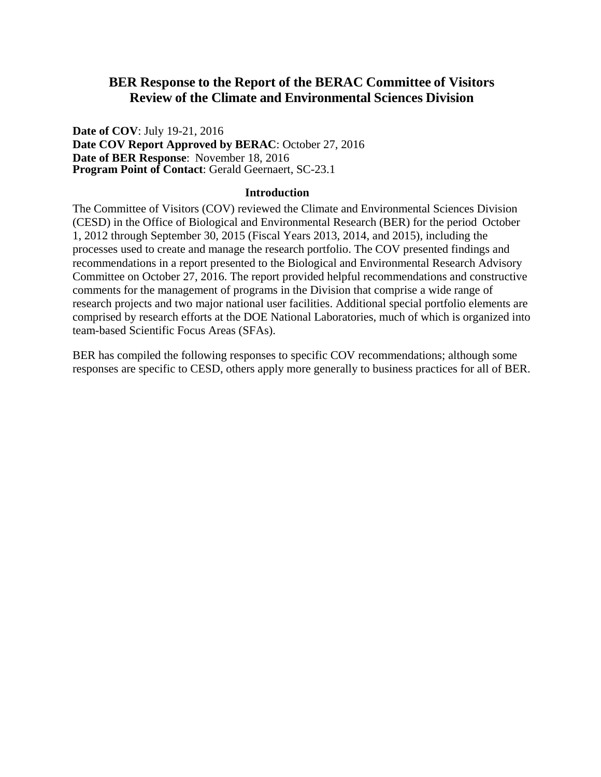## **BER Response to the Report of the BERAC Committee of Visitors Review of the Climate and Environmental Sciences Division**

**Date of COV**: July 19-21, 2016 **Date COV Report Approved by BERAC**: October 27, 2016 **Date of BER Response**: November 18, 2016 **Program Point of Contact**: Gerald Geernaert, SC-23.1

## **Introduction**

The Committee of Visitors (COV) reviewed the Climate and Environmental Sciences Division (CESD) in the Office of Biological and Environmental Research (BER) for the period October 1, 2012 through September 30, 2015 (Fiscal Years 2013, 2014, and 2015), including the processes used to create and manage the research portfolio. The COV presented findings and recommendations in a report presented to the Biological and Environmental Research Advisory Committee on October 27, 2016. The report provided helpful recommendations and constructive comments for the management of programs in the Division that comprise a wide range of research projects and two major national user facilities. Additional special portfolio elements are comprised by research efforts at the DOE National Laboratories, much of which is organized into team-based Scientific Focus Areas (SFAs).

BER has compiled the following responses to specific COV recommendations; although some responses are specific to CESD, others apply more generally to business practices for all of BER.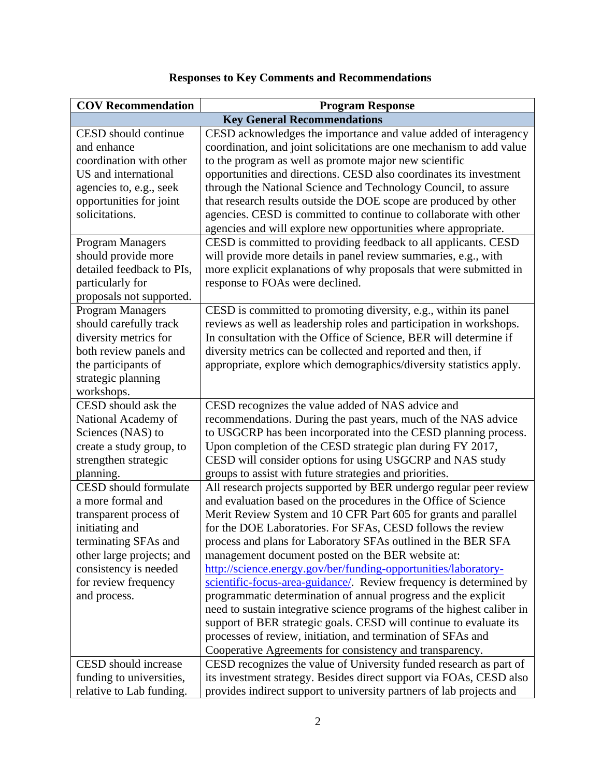| <b>COV Recommendation</b>    | <b>Program Response</b>                                                |
|------------------------------|------------------------------------------------------------------------|
|                              | <b>Key General Recommendations</b>                                     |
| CESD should continue         | CESD acknowledges the importance and value added of interagency        |
| and enhance                  | coordination, and joint solicitations are one mechanism to add value   |
| coordination with other      | to the program as well as promote major new scientific                 |
| US and international         | opportunities and directions. CESD also coordinates its investment     |
| agencies to, e.g., seek      | through the National Science and Technology Council, to assure         |
| opportunities for joint      | that research results outside the DOE scope are produced by other      |
| solicitations.               | agencies. CESD is committed to continue to collaborate with other      |
|                              | agencies and will explore new opportunities where appropriate.         |
| <b>Program Managers</b>      | CESD is committed to providing feedback to all applicants. CESD        |
| should provide more          | will provide more details in panel review summaries, e.g., with        |
| detailed feedback to PIs,    | more explicit explanations of why proposals that were submitted in     |
| particularly for             | response to FOAs were declined.                                        |
| proposals not supported.     |                                                                        |
| <b>Program Managers</b>      | CESD is committed to promoting diversity, e.g., within its panel       |
| should carefully track       | reviews as well as leadership roles and participation in workshops.    |
| diversity metrics for        | In consultation with the Office of Science, BER will determine if      |
| both review panels and       | diversity metrics can be collected and reported and then, if           |
| the participants of          | appropriate, explore which demographics/diversity statistics apply.    |
| strategic planning           |                                                                        |
| workshops.                   |                                                                        |
| CESD should ask the          | CESD recognizes the value added of NAS advice and                      |
| National Academy of          | recommendations. During the past years, much of the NAS advice         |
| Sciences (NAS) to            | to USGCRP has been incorporated into the CESD planning process.        |
| create a study group, to     | Upon completion of the CESD strategic plan during FY 2017,             |
| strengthen strategic         | CESD will consider options for using USGCRP and NAS study              |
| planning.                    | groups to assist with future strategies and priorities.                |
| <b>CESD</b> should formulate | All research projects supported by BER undergo regular peer review     |
| a more formal and            | and evaluation based on the procedures in the Office of Science        |
| transparent process of       | Merit Review System and 10 CFR Part 605 for grants and parallel        |
| initiating and               | for the DOE Laboratories. For SFAs, CESD follows the review            |
| terminating SFAs and         | process and plans for Laboratory SFAs outlined in the BER SFA          |
| other large projects; and    | management document posted on the BER website at:                      |
| consistency is needed        | http://science.energy.gov/ber/funding-opportunities/laboratory-        |
| for review frequency         | scientific-focus-area-guidance/. Review frequency is determined by     |
| and process.                 | programmatic determination of annual progress and the explicit         |
|                              | need to sustain integrative science programs of the highest caliber in |
|                              | support of BER strategic goals. CESD will continue to evaluate its     |
|                              | processes of review, initiation, and termination of SFAs and           |
|                              | Cooperative Agreements for consistency and transparency.               |
| CESD should increase         | CESD recognizes the value of University funded research as part of     |
| funding to universities,     | its investment strategy. Besides direct support via FOAs, CESD also    |
| relative to Lab funding.     | provides indirect support to university partners of lab projects and   |

## **Responses to Key Comments and Recommendations**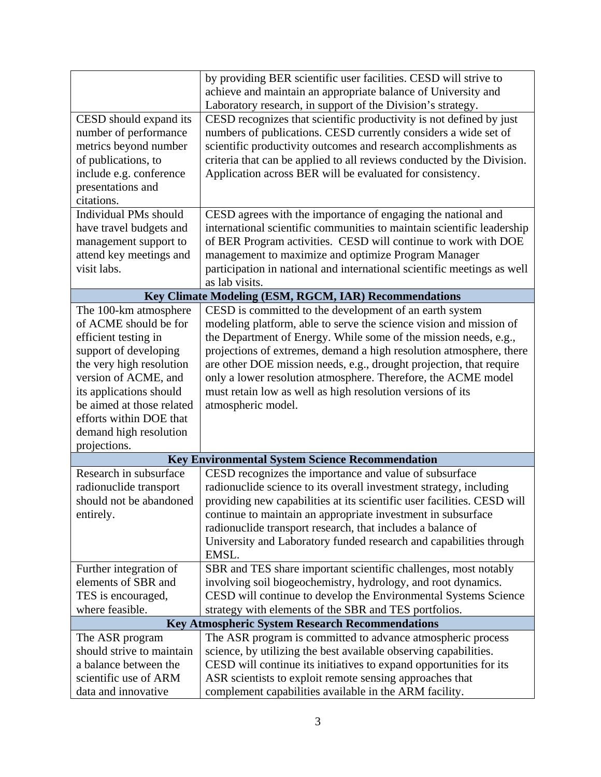|                                                        | by providing BER scientific user facilities. CESD will strive to        |  |
|--------------------------------------------------------|-------------------------------------------------------------------------|--|
|                                                        | achieve and maintain an appropriate balance of University and           |  |
|                                                        | Laboratory research, in support of the Division's strategy.             |  |
| CESD should expand its                                 | CESD recognizes that scientific productivity is not defined by just     |  |
| number of performance                                  | numbers of publications. CESD currently considers a wide set of         |  |
| metrics beyond number                                  | scientific productivity outcomes and research accomplishments as        |  |
| of publications, to                                    | criteria that can be applied to all reviews conducted by the Division.  |  |
| include e.g. conference                                | Application across BER will be evaluated for consistency.               |  |
| presentations and                                      |                                                                         |  |
| citations.                                             |                                                                         |  |
| <b>Individual PMs should</b>                           | CESD agrees with the importance of engaging the national and            |  |
| have travel budgets and                                | international scientific communities to maintain scientific leadership  |  |
| management support to                                  | of BER Program activities. CESD will continue to work with DOE          |  |
| attend key meetings and                                | management to maximize and optimize Program Manager                     |  |
| visit labs.                                            | participation in national and international scientific meetings as well |  |
|                                                        | as lab visits.                                                          |  |
| Key Climate Modeling (ESM, RGCM, IAR) Recommendations  |                                                                         |  |
| The 100-km atmosphere                                  | CESD is committed to the development of an earth system                 |  |
| of ACME should be for                                  | modeling platform, able to serve the science vision and mission of      |  |
| efficient testing in                                   | the Department of Energy. While some of the mission needs, e.g.,        |  |
| support of developing                                  | projections of extremes, demand a high resolution atmosphere, there     |  |
| the very high resolution                               | are other DOE mission needs, e.g., drought projection, that require     |  |
| version of ACME, and                                   | only a lower resolution atmosphere. Therefore, the ACME model           |  |
| its applications should                                | must retain low as well as high resolution versions of its              |  |
| be aimed at those related                              | atmospheric model.                                                      |  |
| efforts within DOE that                                |                                                                         |  |
| demand high resolution<br>projections.                 |                                                                         |  |
|                                                        | <b>Key Environmental System Science Recommendation</b>                  |  |
| Research in subsurface                                 | CESD recognizes the importance and value of subsurface                  |  |
| radionuclide transport                                 | radionuclide science to its overall investment strategy, including      |  |
| should not be abandoned                                | providing new capabilities at its scientific user facilities. CESD will |  |
| entirely.                                              | continue to maintain an appropriate investment in subsurface            |  |
|                                                        | radionuclide transport research, that includes a balance of             |  |
|                                                        | University and Laboratory funded research and capabilities through      |  |
|                                                        | EMSL.                                                                   |  |
| Further integration of                                 | SBR and TES share important scientific challenges, most notably         |  |
| elements of SBR and                                    | involving soil biogeochemistry, hydrology, and root dynamics.           |  |
| TES is encouraged,                                     | CESD will continue to develop the Environmental Systems Science         |  |
| where feasible.                                        | strategy with elements of the SBR and TES portfolios.                   |  |
| <b>Key Atmospheric System Research Recommendations</b> |                                                                         |  |
| The ASR program                                        | The ASR program is committed to advance atmospheric process             |  |
| should strive to maintain                              | science, by utilizing the best available observing capabilities.        |  |
| a balance between the                                  | CESD will continue its initiatives to expand opportunities for its      |  |
| scientific use of ARM                                  | ASR scientists to exploit remote sensing approaches that                |  |
| data and innovative                                    | complement capabilities available in the ARM facility.                  |  |